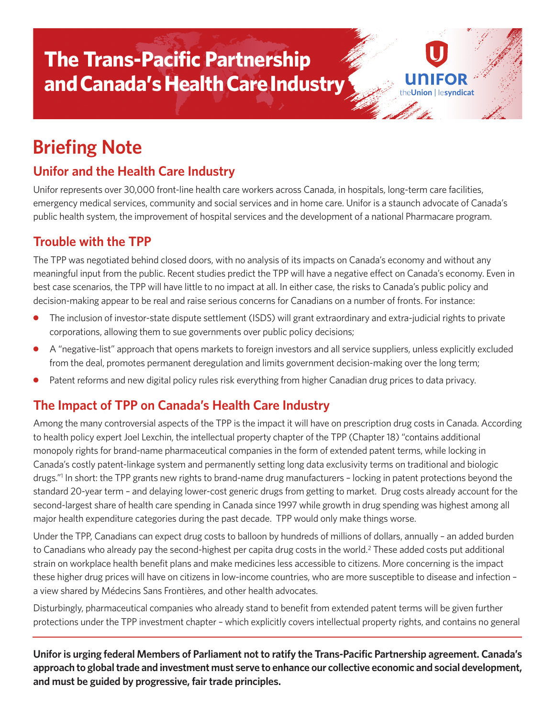# **The Trans-Pacific Partnership and Canada's Health Care Industry**

# **Briefing Note**

## **Unifor and the Health Care Industry**

Unifor represents over 30,000 front-line health care workers across Canada, in hospitals, long-term care facilities, emergency medical services, community and social services and in home care. Unifor is a staunch advocate of Canada's public health system, the improvement of hospital services and the development of a national Pharmacare program.

on **Lesyndicat** 

#### **Trouble with the TPP**

The TPP was negotiated behind closed doors, with no analysis of its impacts on Canada's economy and without any meaningful input from the public. Recent studies predict the TPP will have a negative effect on Canada's economy. Even in best case scenarios, the TPP will have little to no impact at all. In either case, the risks to Canada's public policy and decision-making appear to be real and raise serious concerns for Canadians on a number of fronts. For instance:

- The inclusion of investor-state dispute settlement (ISDS) will grant extraordinary and extra-judicial rights to private corporations, allowing them to sue governments over public policy decisions;
- **●** A "negative-list" approach that opens markets to foreign investors and all service suppliers, unless explicitly excluded from the deal, promotes permanent deregulation and limits government decision-making over the long term;
- Patent reforms and new digital policy rules risk everything from higher Canadian drug prices to data privacy.

#### **The Impact of TPP on Canada's Health Care Industry**

Among the many controversial aspects of the TPP is the impact it will have on prescription drug costs in Canada. According to health policy expert Joel Lexchin, the intellectual property chapter of the TPP (Chapter 18) "contains additional monopoly rights for brand-name pharmaceutical companies in the form of extended patent terms, while locking in Canada's costly patent-linkage system and permanently setting long data exclusivity terms on traditional and biologic drugs."<sup>1</sup> In short: the TPP grants new rights to brand-name drug manufacturers - locking in patent protections beyond the standard 20-year term – and delaying lower-cost generic drugs from getting to market. Drug costs already account for the second-largest share of health care spending in Canada since 1997 while growth in drug spending was highest among all major health expenditure categories during the past decade. TPP would only make things worse.

Under the TPP, Canadians can expect drug costs to balloon by hundreds of millions of dollars, annually – an added burden to Canadians who already pay the second-highest per capita drug costs in the world.<sup>2</sup> These added costs put additional strain on workplace health benefit plans and make medicines less accessible to citizens. More concerning is the impact these higher drug prices will have on citizens in low-income countries, who are more susceptible to disease and infection – a view shared by Médecins Sans Frontières, and other health advocates.

Disturbingly, pharmaceutical companies who already stand to benefit from extended patent terms will be given further protections under the TPP investment chapter – which explicitly covers intellectual property rights, and contains no general

**Unifor is urging federal Members of Parliament not to ratify the Trans-Pacific Partnership agreement. Canada's approach to global trade and investment must serve to enhance our collective economic and social development, and must be guided by progressive, fair trade principles.**